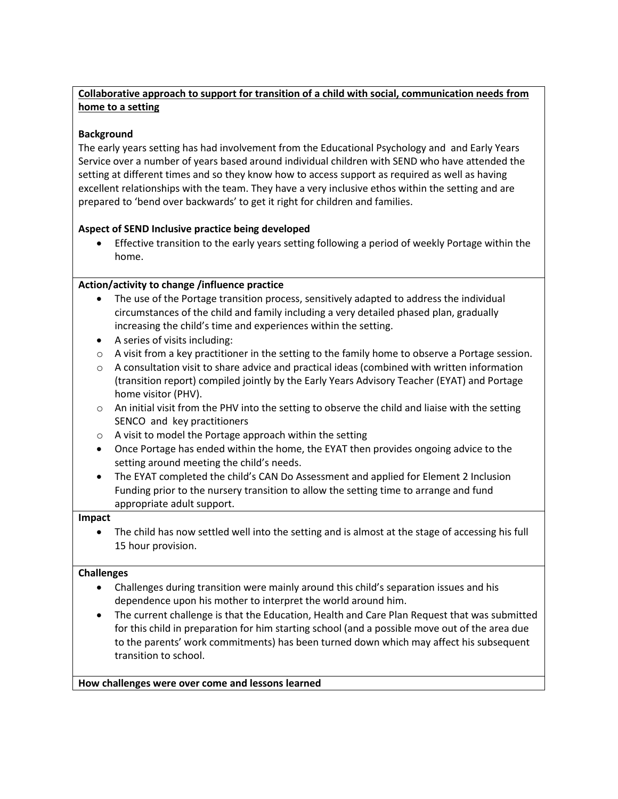# **Collaborative approach to support for transition of a child with social, communication needs from home to a setting**

# **Background**

The early years setting has had involvement from the Educational Psychology and and Early Years Service over a number of years based around individual children with SEND who have attended the setting at different times and so they know how to access support as required as well as having excellent relationships with the team. They have a very inclusive ethos within the setting and are prepared to 'bend over backwards' to get it right for children and families.

## **Aspect of SEND Inclusive practice being developed**

 Effective transition to the early years setting following a period of weekly Portage within the home.

### **Action/activity to change /influence practice**

- The use of the Portage transition process, sensitively adapted to address the individual circumstances of the child and family including a very detailed phased plan, gradually increasing the child's time and experiences within the setting.
- A series of visits including:
- $\circ$  A visit from a key practitioner in the setting to the family home to observe a Portage session.
- $\circ$  A consultation visit to share advice and practical ideas (combined with written information (transition report) compiled jointly by the Early Years Advisory Teacher (EYAT) and Portage home visitor (PHV).
- $\circ$  An initial visit from the PHV into the setting to observe the child and liaise with the setting SENCO and key practitioners
- o A visit to model the Portage approach within the setting
- Once Portage has ended within the home, the EYAT then provides ongoing advice to the setting around meeting the child's needs.
- The EYAT completed the child's CAN Do Assessment and applied for Element 2 Inclusion Funding prior to the nursery transition to allow the setting time to arrange and fund appropriate adult support.

### **Impact**

 The child has now settled well into the setting and is almost at the stage of accessing his full 15 hour provision.

### **Challenges**

- Challenges during transition were mainly around this child's separation issues and his dependence upon his mother to interpret the world around him.
- The current challenge is that the Education, Health and Care Plan Request that was submitted for this child in preparation for him starting school (and a possible move out of the area due to the parents' work commitments) has been turned down which may affect his subsequent transition to school.

**How challenges were over come and lessons learned**